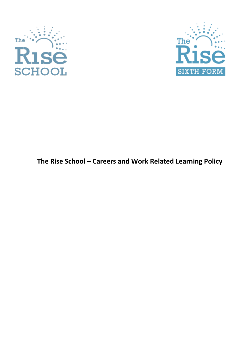



# **The Rise School – Careers and Work Related Learning Policy**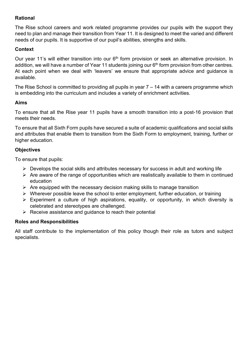#### **Rational**

The Rise school careers and work related programme provides our pupils with the support they need to plan and manage their transition from Year 11. It is designed to meet the varied and different needs of our pupils. It is supportive of our pupil's abilities, strengths and skills.

#### **Context**

Our year 11's will either transition into our  $6<sup>th</sup>$  form provision or seek an alternative provision. In addition, we will have a number of Year 11 students joining our  $6<sup>th</sup>$  form provision from other centres. At each point when we deal with 'leavers' we ensure that appropriate advice and guidance is available.

The Rise School is committed to providing all pupils in year  $7 - 14$  with a careers programme which is embedding into the curriculum and includes a variety of enrichment activities.

#### **Aims**

To ensure that all the Rise year 11 pupils have a smooth transition into a post-16 provision that meets their needs.

To ensure that all Sixth Form pupils have secured a suite of academic qualifications and social skills and attributes that enable them to transition from the Sixth Form to employment, training, further or higher education.

#### **Objectives**

To ensure that pupils:

- $\triangleright$  Develops the social skills and attributes necessary for success in adult and working life
- $\triangleright$  Are aware of the range of opportunities which are realistically available to them in continued education
- $\triangleright$  Are equipped with the necessary decision making skills to manage transition
- $\triangleright$  Wherever possible leave the school to enter employment, further education, or training
- $\triangleright$  Experiment a culture of high aspirations, equality, or opportunity, in which diversity is celebrated and stereotypes are challenged.
- $\triangleright$  Receive assistance and quidance to reach their potential

#### **Roles and Responsibilities**

All staff contribute to the implementation of this policy though their role as tutors and subject specialists.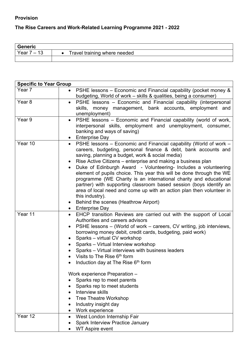#### **Provision**

## **The Rise Careers and Work-Related Learning Programme 2021 - 2022**

| <b>Generic</b>                         |                              |
|----------------------------------------|------------------------------|
| 13<br>Year<br>$\overline{\phantom{0}}$ | Travel training where needed |
|                                        |                              |

| <b>Specific to Year Group</b> |                                                                                                                                                                                                                                                                                                                                                                                                                                                                                                                                                                                                                                                                                                                       |  |  |  |
|-------------------------------|-----------------------------------------------------------------------------------------------------------------------------------------------------------------------------------------------------------------------------------------------------------------------------------------------------------------------------------------------------------------------------------------------------------------------------------------------------------------------------------------------------------------------------------------------------------------------------------------------------------------------------------------------------------------------------------------------------------------------|--|--|--|
| Year 7                        | PSHE lessons – Economic and Financial capability (pocket money &<br>$\bullet$<br>budgeting, World of work – skills & qualities, being a consumer)                                                                                                                                                                                                                                                                                                                                                                                                                                                                                                                                                                     |  |  |  |
| Year <sub>8</sub>             | • PSHE lessons - Economic and Financial capability (interpersonal<br>skills, money management, bank accounts, employment and<br>unemployment)                                                                                                                                                                                                                                                                                                                                                                                                                                                                                                                                                                         |  |  |  |
| Year 9                        | PSHE lessons – Economic and Financial capability (world of work,<br>$\bullet$<br>interpersonal skills, employment and unemployment, consumer,<br>banking and ways of saving)<br>• Enterprise Day                                                                                                                                                                                                                                                                                                                                                                                                                                                                                                                      |  |  |  |
| Year 10                       | PSHE lessons - Economic and Financial capability (World of work -<br>$\bullet$<br>careers, budgeting, personal finance & debt, bank accounts and<br>saving, planning a budget, work & social media)<br>Rise Active Citizens – enterprise and making a business plan<br>Duke of Edinburgh Award - Volunteering- Includes a volunteering<br>element of pupils choice. This year this will be done through the WE<br>programme (WE Charity is an international charity and educational<br>partner) with supporting classroom based session (boys identify an<br>area of local need and come up with an action plan then volunteer in<br>this industry).<br>Behind the scenes (Heathrow Airport)<br><b>Enterprise Day</b> |  |  |  |
| Year 11                       | EHCP transition Reviews are carried out with the support of Local<br>$\bullet$<br>Authorities and careers advisors<br>PSHE lessons – (World of work – careers, CV writing, job interviews,<br>$\bullet$<br>borrowing money debit, credit cards, budgeting, paid work)<br>Sparks - virtual CV workshop<br>Sparks - Virtual Interview workshop<br>Sparks - Virtual interviews with business leaders<br>Visits to The Rise 6 <sup>th</sup> form<br>Induction day at The Rise 6 <sup>th</sup> form<br>Work experience Preparation -                                                                                                                                                                                       |  |  |  |
|                               | Sparks rep to meet parents<br>Sparks rep to meet students<br>Interview skills<br><b>Tree Theatre Workshop</b><br>Industry insight day<br>Work experience                                                                                                                                                                                                                                                                                                                                                                                                                                                                                                                                                              |  |  |  |
| Year 12                       | West London Internship Fair<br><b>Spark Interview Practice January</b><br><b>WT Aspire event</b>                                                                                                                                                                                                                                                                                                                                                                                                                                                                                                                                                                                                                      |  |  |  |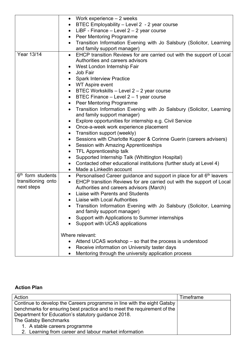| Transition Information Evening with Jo Salsbury (Solicitor, Learning      |
|---------------------------------------------------------------------------|
|                                                                           |
| EHCP transition Reviews for are carried out with the support of Local     |
|                                                                           |
|                                                                           |
|                                                                           |
|                                                                           |
|                                                                           |
|                                                                           |
|                                                                           |
|                                                                           |
| Transition Information Evening with Jo Salsbury (Solicitor, Learning      |
|                                                                           |
|                                                                           |
|                                                                           |
|                                                                           |
| Sessions with Charlotte Kupper & Corinne Guerin (careers advisers)        |
|                                                                           |
|                                                                           |
|                                                                           |
| Contacted other educational institutions (further study at Level 4)       |
|                                                                           |
| • Personalised Career guidance and support in place for all $6th$ leavers |
| EHCP transition Reviews for are carried out with the support of Local     |
|                                                                           |
|                                                                           |
|                                                                           |
| Transition Information Evening with Jo Salsbury (Solicitor, Learning      |
|                                                                           |
|                                                                           |
|                                                                           |
|                                                                           |
|                                                                           |
|                                                                           |
|                                                                           |
|                                                                           |

### **Action Plan**

| Action                                                                   | Timeframe |
|--------------------------------------------------------------------------|-----------|
| Continue to develop the Careers programme in line with the eight Gatsby  |           |
| benchmarks for ensuring best practice and to meet the requirement of the |           |
| Department for Education's statutory guidance 2018.                      |           |
| The Gatsby Benchmarks                                                    |           |
| 1. A stable careers programme                                            |           |
| 2. Learning from career and labour market information                    |           |